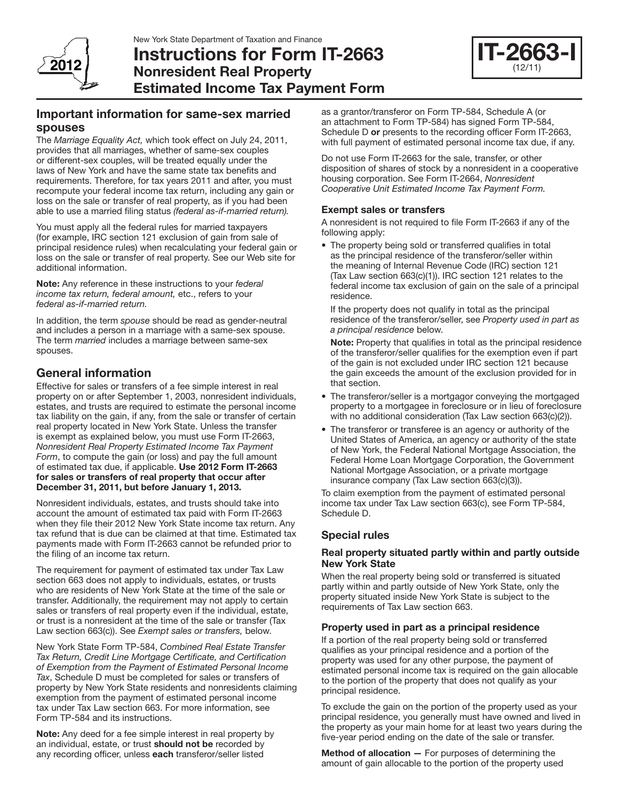

Instructions for Form IT-2663 Nonresident Real Property Estimated Income Tax Payment Form



# Important information for same-sex married spouses

The *Marriage Equality Act,* which took effect on July 24, 2011, provides that all marriages, whether of same-sex couples or different-sex couples, will be treated equally under the laws of New York and have the same state tax benefits and requirements. Therefore, for tax years 2011 and after, you must recompute your federal income tax return, including any gain or loss on the sale or transfer of real property, as if you had been able to use a married filing status *(federal as-if-married return).*

You must apply all the federal rules for married taxpayers (for example, IRC section 121 exclusion of gain from sale of principal residence rules) when recalculating your federal gain or loss on the sale or transfer of real property. See our Web site for additional information.

Note: Any reference in these instructions to your *federal income tax return, federal amount,* etc., refers to your *federal as-if-married return.*

In addition, the term *spouse* should be read as gender-neutral and includes a person in a marriage with a same-sex spouse. The term *married* includes a marriage between same-sex spouses.

# General information

Effective for sales or transfers of a fee simple interest in real property on or after September 1, 2003, nonresident individuals, estates, and trusts are required to estimate the personal income tax liability on the gain, if any, from the sale or transfer of certain real property located in New York State. Unless the transfer is exempt as explained below, you must use Form IT-2663, *Nonresident Real Property Estimated Income Tax Payment Form*, to compute the gain (or loss) and pay the full amount of estimated tax due, if applicable. Use 2012 Form IT-2663 for sales or transfers of real property that occur after December 31, 2011, but before January 1, 2013.

Nonresident individuals, estates, and trusts should take into account the amount of estimated tax paid with Form IT-2663 when they file their 2012 New York State income tax return. Any tax refund that is due can be claimed at that time. Estimated tax payments made with Form IT-2663 cannot be refunded prior to the filing of an income tax return.

The requirement for payment of estimated tax under Tax Law section 663 does not apply to individuals, estates, or trusts who are residents of New York State at the time of the sale or transfer. Additionally, the requirement may not apply to certain sales or transfers of real property even if the individual, estate, or trust is a nonresident at the time of the sale or transfer (Tax Law section 663(c)). See *Exempt sales or transfers,* below*.*

New York State Form TP-584, *Combined Real Estate Transfer Tax Return, Credit Line Mortgage Certificate, and Certification of Exemption from the Payment of Estimated Personal Income Tax*, Schedule D must be completed for sales or transfers of property by New York State residents and nonresidents claiming exemption from the payment of estimated personal income tax under Tax Law section 663. For more information, see Form TP-584 and its instructions.

Note: Any deed for a fee simple interest in real property by an individual, estate, or trust should not be recorded by any recording officer, unless each transferor/seller listed

as a grantor/transferor on Form TP-584, Schedule A (or an attachment to Form TP-584) has signed Form TP-584, Schedule D or presents to the recording officer Form IT-2663, with full payment of estimated personal income tax due, if any.

Do not use Form IT-2663 for the sale, transfer, or other disposition of shares of stock by a nonresident in a cooperative housing corporation. See Form IT-2664, *Nonresident Cooperative Unit Estimated Income Tax Payment Form.*

### Exempt sales or transfers

A nonresident is not required to file Form IT-2663 if any of the following apply:

• The property being sold or transferred qualifies in total as the principal residence of the transferor/seller within the meaning of Internal Revenue Code (IRC) section 121 (Tax Law section 663(c)(1)). IRC section 121 relates to the federal income tax exclusion of gain on the sale of a principal residence.

If the property does not qualify in total as the principal residence of the transferor/seller, see *Property used in part as a principal residence* below.

Note: Property that qualifies in total as the principal residence of the transferor/seller qualifies for the exemption even if part of the gain is not excluded under IRC section 121 because the gain exceeds the amount of the exclusion provided for in that section.

- The transferor/seller is a mortgagor conveying the mortgaged property to a mortgagee in foreclosure or in lieu of foreclosure with no additional consideration (Tax Law section 663(c)(2)).
- The transferor or transferee is an agency or authority of the United States of America, an agency or authority of the state of New York, the Federal National Mortgage Association, the Federal Home Loan Mortgage Corporation, the Government National Mortgage Association, or a private mortgage insurance company (Tax Law section 663(c)(3)).

To claim exemption from the payment of estimated personal income tax under Tax Law section 663(c), see Form TP-584, Schedule D.

### Special rules

### Real property situated partly within and partly outside New York State

When the real property being sold or transferred is situated partly within and partly outside of New York State, only the property situated inside New York State is subject to the requirements of Tax Law section 663.

### Property used in part as a principal residence

If a portion of the real property being sold or transferred qualifies as your principal residence and a portion of the property was used for any other purpose, the payment of estimated personal income tax is required on the gain allocable to the portion of the property that does not qualify as your principal residence.

To exclude the gain on the portion of the property used as your principal residence, you generally must have owned and lived in the property as your main home for at least two years during the five-year period ending on the date of the sale or transfer.

Method of allocation — For purposes of determining the amount of gain allocable to the portion of the property used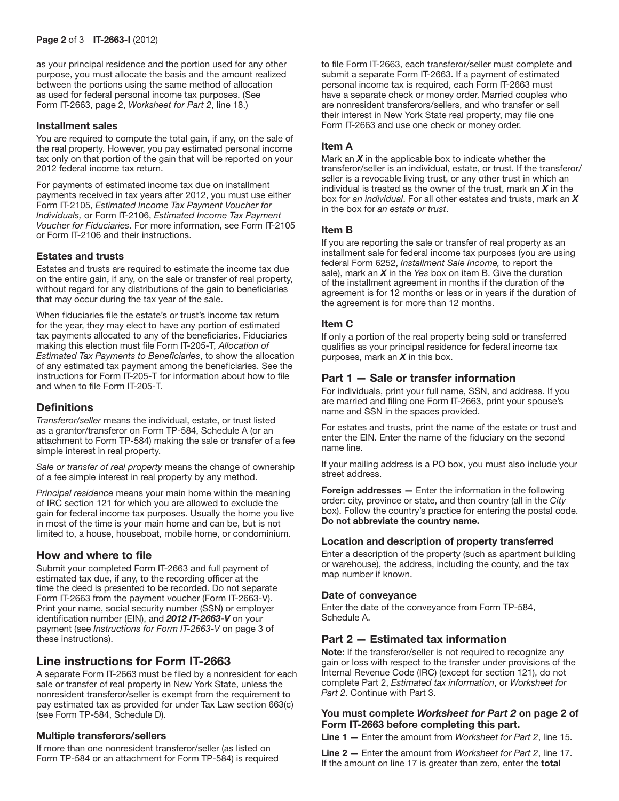as your principal residence and the portion used for any other purpose, you must allocate the basis and the amount realized between the portions using the same method of allocation as used for federal personal income tax purposes. (See Form IT-2663, page 2, *Worksheet for Part 2*, line 18.)

#### Installment sales

You are required to compute the total gain, if any, on the sale of the real property. However, you pay estimated personal income tax only on that portion of the gain that will be reported on your 2012 federal income tax return.

For payments of estimated income tax due on installment payments received in tax years after 2012, you must use either Form IT-2105, *Estimated Income Tax Payment Voucher for Individuals,* or Form IT-2106, *Estimated Income Tax Payment Voucher for Fiduciaries*. For more information, see Form IT-2105 or Form IT-2106 and their instructions.

#### Estates and trusts

Estates and trusts are required to estimate the income tax due on the entire gain, if any, on the sale or transfer of real property, without regard for any distributions of the gain to beneficiaries that may occur during the tax year of the sale.

When fiduciaries file the estate's or trust's income tax return for the year, they may elect to have any portion of estimated tax payments allocated to any of the beneficiaries. Fiduciaries making this election must file Form IT-205-T, *Allocation of Estimated Tax Payments to Beneficiaries*, to show the allocation of any estimated tax payment among the beneficiaries. See the instructions for Form IT-205-T for information about how to file and when to file Form IT-205-T.

### **Definitions**

*Transferor/seller* means the individual, estate, or trust listed as a grantor/transferor on Form TP-584, Schedule A (or an attachment to Form TP-584) making the sale or transfer of a fee simple interest in real property.

*Sale or transfer of real property* means the change of ownership of a fee simple interest in real property by any method.

*Principal residence* means your main home within the meaning of IRC section 121 for which you are allowed to exclude the gain for federal income tax purposes. Usually the home you live in most of the time is your main home and can be, but is not limited to, a house, houseboat, mobile home, or condominium.

### How and where to file

Submit your completed Form IT-2663 and full payment of estimated tax due, if any, to the recording officer at the time the deed is presented to be recorded. Do not separate Form IT-2663 from the payment voucher (Form IT-2663-V). Print your name, social security number (SSN) or employer identification number (EIN), and *2012 IT‑2663‑V* on your payment (see *Instructions for Form IT-2663-V* on page 3 of these instructions).

# Line instructions for Form IT-2663

A separate Form IT-2663 must be filed by a nonresident for each sale or transfer of real property in New York State, unless the nonresident transferor/seller is exempt from the requirement to pay estimated tax as provided for under Tax Law section 663(c) (see Form TP-584, Schedule D).

#### Multiple transferors/sellers

If more than one nonresident transferor/seller (as listed on Form TP-584 or an attachment for Form TP-584) is required to file Form IT-2663, each transferor/seller must complete and submit a separate Form IT-2663. If a payment of estimated personal income tax is required, each Form IT-2663 must have a separate check or money order. Married couples who are nonresident transferors/sellers, and who transfer or sell their interest in New York State real property, may file one Form IT-2663 and use one check or money order.

#### Item A

Mark an *X* in the applicable box to indicate whether the transferor/seller is an individual, estate, or trust. If the transferor/ seller is a revocable living trust, or any other trust in which an individual is treated as the owner of the trust, mark an *X* in the box for *an individual*. For all other estates and trusts, mark an *X* in the box for *an estate or trust*.

#### Item B

If you are reporting the sale or transfer of real property as an installment sale for federal income tax purposes (you are using federal Form 6252, *Installment Sale Income,* to report the sale), mark an *X* in the *Yes* box on item B. Give the duration of the installment agreement in months if the duration of the agreement is for 12 months or less or in years if the duration of the agreement is for more than 12 months.

#### Item C

If only a portion of the real property being sold or transferred qualifies as your principal residence for federal income tax purposes, mark an *X* in this box.

### Part 1 — Sale or transfer information

For individuals, print your full name, SSN, and address. If you are married and filing one Form IT-2663, print your spouse's name and SSN in the spaces provided.

For estates and trusts, print the name of the estate or trust and enter the EIN. Enter the name of the fiduciary on the second name line.

If your mailing address is a PO box, you must also include your street address.

Foreign addresses — Enter the information in the following order: city, province or state, and then country (all in the *City* box). Follow the country's practice for entering the postal code. Do not abbreviate the country name.

#### Location and description of property transferred

Enter a description of the property (such as apartment building or warehouse), the address, including the county, and the tax map number if known.

#### Date of conveyance

Enter the date of the conveyance from Form TP-584, Schedule A.

### Part 2 — Estimated tax information

Note: If the transferor/seller is not required to recognize any gain or loss with respect to the transfer under provisions of the Internal Revenue Code (IRC) (except for section 121), do not complete Part 2, *Estimated tax information*, or *Worksheet for Part 2*. Continue with Part 3.

#### You must complete *Worksheet for Part 2* on page 2 of Form IT-2663 before completing this part.

Line 1 — Enter the amount from *Worksheet for Part 2*, line 15.

Line 2 — Enter the amount from *Worksheet for Part 2*, line 17. If the amount on line 17 is greater than zero, enter the total